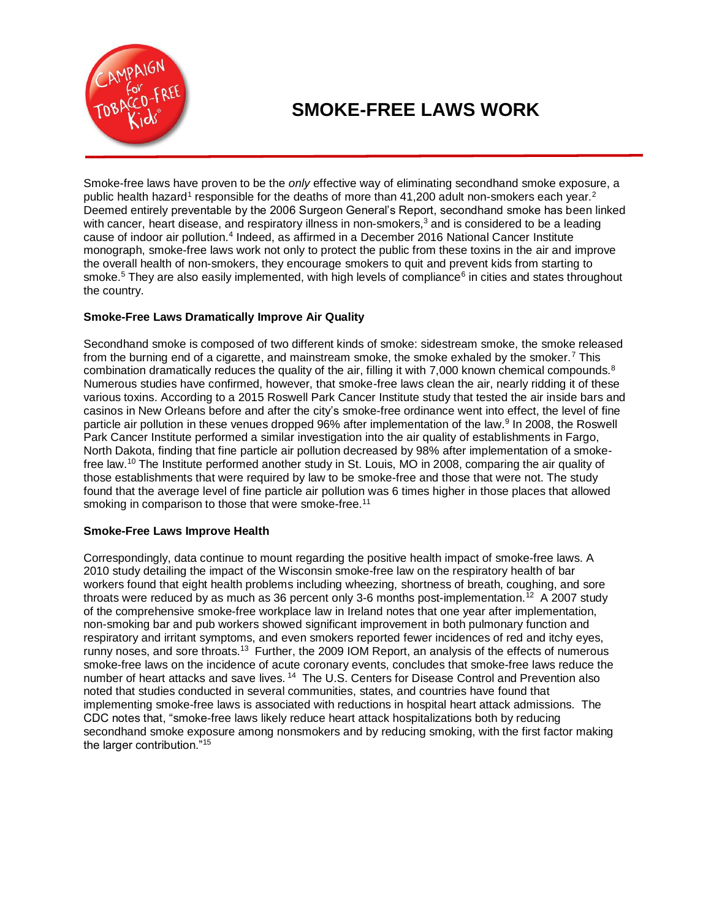

# **SMOKE-FREE LAWS WORK**

Smoke-free laws have proven to be the *only* effective way of eliminating secondhand smoke exposure, a public health hazard<sup>1</sup> responsible for the deaths of more than 41,200 adult non-smokers each year.<sup>2</sup> Deemed entirely preventable by the 2006 Surgeon General's Report, secondhand smoke has been linked with cancer, heart disease, and respiratory illness in non-smokers,<sup>3</sup> and is considered to be a leading cause of indoor air pollution.<sup>4</sup> Indeed, as affirmed in a December 2016 National Cancer Institute monograph, smoke-free laws work not only to protect the public from these toxins in the air and improve the overall health of non-smokers, they encourage smokers to quit and prevent kids from starting to smoke.<sup>5</sup> They are also easily implemented, with high levels of compliance<sup>6</sup> in cities and states throughout the country.

## **Smoke-Free Laws Dramatically Improve Air Quality**

Secondhand smoke is composed of two different kinds of smoke: sidestream smoke, the smoke released from the burning end of a cigarette, and mainstream smoke, the smoke exhaled by the smoker.<sup>7</sup> This combination dramatically reduces the quality of the air, filling it with 7,000 known chemical compounds.<sup>8</sup> Numerous studies have confirmed, however, that smoke-free laws clean the air, nearly ridding it of these various toxins. According to a 2015 Roswell Park Cancer Institute study that tested the air inside bars and casinos in New Orleans before and after the city's smoke-free ordinance went into effect, the level of fine particle air pollution in these venues dropped 96% after implementation of the law.<sup>9</sup> In 2008, the Roswell Park Cancer Institute performed a similar investigation into the air quality of establishments in Fargo, North Dakota, finding that fine particle air pollution decreased by 98% after implementation of a smokefree law.<sup>10</sup> The Institute performed another study in St. Louis, MO in 2008, comparing the air quality of those establishments that were required by law to be smoke-free and those that were not. The study found that the average level of fine particle air pollution was 6 times higher in those places that allowed smoking in comparison to those that were smoke-free.<sup>11</sup>

## **Smoke-Free Laws Improve Health**

Correspondingly, data continue to mount regarding the positive health impact of smoke-free laws. A 2010 study detailing the impact of the Wisconsin smoke-free law on the respiratory health of bar workers found that eight health problems including wheezing, shortness of breath, coughing, and sore throats were reduced by as much as 36 percent only 3-6 months post-implementation.<sup> $12$ </sup> A 2007 study of the comprehensive smoke-free workplace law in Ireland notes that one year after implementation, non-smoking bar and pub workers showed significant improvement in both pulmonary function and respiratory and irritant symptoms, and even smokers reported fewer incidences of red and itchy eyes, runny noses, and sore throats.<sup>13</sup> Further, the 2009 IOM Report, an analysis of the effects of numerous smoke-free laws on the incidence of acute coronary events, concludes that smoke-free laws reduce the number of heart attacks and save lives. <sup>14</sup> The U.S. Centers for Disease Control and Prevention also noted that studies conducted in several communities, states, and countries have found that implementing smoke-free laws is associated with reductions in hospital heart attack admissions. The CDC notes that, "smoke-free laws likely reduce heart attack hospitalizations both by reducing secondhand smoke exposure among nonsmokers and by reducing smoking, with the first factor making the larger contribution."<sup>15</sup>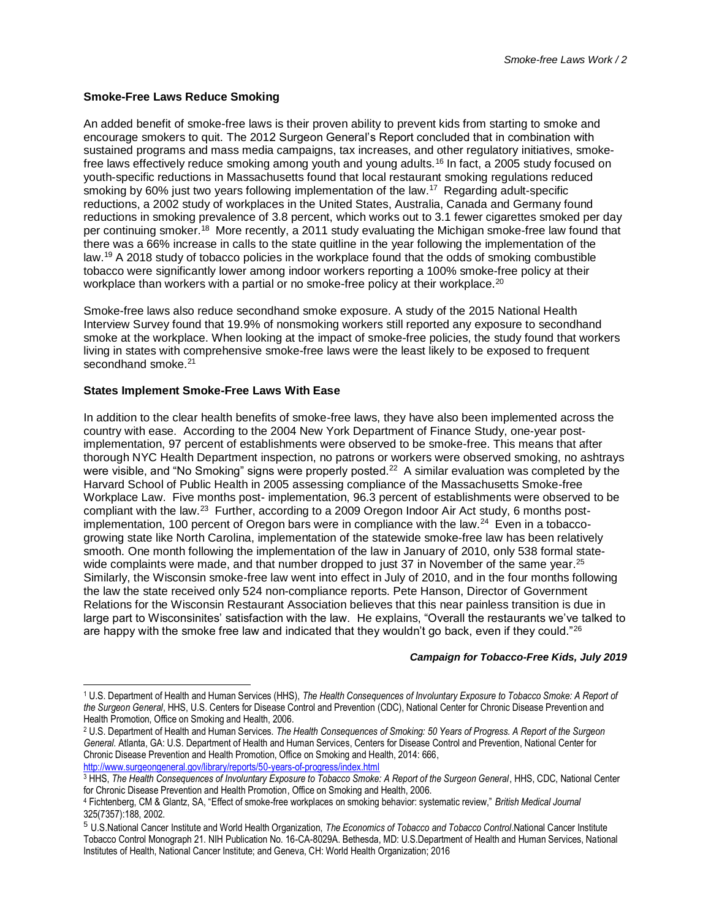### **Smoke-Free Laws Reduce Smoking**

An added benefit of smoke-free laws is their proven ability to prevent kids from starting to smoke and encourage smokers to quit. The 2012 Surgeon General's Report concluded that in combination with sustained programs and mass media campaigns, tax increases, and other regulatory initiatives, smokefree laws effectively reduce smoking among youth and young adults.<sup>16</sup> In fact, a 2005 study focused on youth-specific reductions in Massachusetts found that local restaurant smoking regulations reduced smoking by 60% just two years following implementation of the law.<sup>17</sup> Regarding adult-specific reductions, a 2002 study of workplaces in the United States, Australia, Canada and Germany found reductions in smoking prevalence of 3.8 percent, which works out to 3.1 fewer cigarettes smoked per day per continuing smoker.<sup>18</sup> More recently, a 2011 study evaluating the Michigan smoke-free law found that there was a 66% increase in calls to the state quitline in the year following the implementation of the law.<sup>19</sup> A 2018 study of tobacco policies in the workplace found that the odds of smoking combustible tobacco were significantly lower among indoor workers reporting a 100% smoke-free policy at their workplace than workers with a partial or no smoke-free policy at their workplace.<sup>20</sup>

Smoke-free laws also reduce secondhand smoke exposure. A study of the 2015 National Health Interview Survey found that 19.9% of nonsmoking workers still reported any exposure to secondhand smoke at the workplace. When looking at the impact of smoke-free policies, the study found that workers living in states with comprehensive smoke-free laws were the least likely to be exposed to frequent secondhand smoke.<sup>21</sup>

## **States Implement Smoke-Free Laws With Ease**

 $\overline{\phantom{a}}$ 

In addition to the clear health benefits of smoke-free laws, they have also been implemented across the country with ease. According to the 2004 New York Department of Finance Study, one-year postimplementation, 97 percent of establishments were observed to be smoke-free. This means that after thorough NYC Health Department inspection, no patrons or workers were observed smoking, no ashtrays were visible, and "No Smoking" signs were properly posted.<sup>22</sup> A similar evaluation was completed by the Harvard School of Public Health in 2005 assessing compliance of the Massachusetts Smoke-free Workplace Law. Five months post- implementation, 96.3 percent of establishments were observed to be compliant with the law.<sup>23</sup> Further, according to a 2009 Oregon Indoor Air Act study, 6 months postimplementation, 100 percent of Oregon bars were in compliance with the law.<sup>24</sup> Even in a tobaccogrowing state like North Carolina, implementation of the statewide smoke-free law has been relatively smooth. One month following the implementation of the law in January of 2010, only 538 formal statewide complaints were made, and that number dropped to just 37 in November of the same year.<sup>25</sup> Similarly, the Wisconsin smoke-free law went into effect in July of 2010, and in the four months following the law the state received only 524 non-compliance reports. Pete Hanson, Director of Government Relations for the Wisconsin Restaurant Association believes that this near painless transition is due in large part to Wisconsinites' satisfaction with the law. He explains, "Overall the restaurants we've talked to are happy with the smoke free law and indicated that they wouldn't go back, even if they could."<sup>26</sup>

#### *Campaign for Tobacco-Free Kids, July 2019*

<sup>1</sup> U.S. Department of Health and Human Services (HHS), *The Health Consequences of Involuntary Exposure to Tobacco Smoke: A Report of the Surgeon General*, HHS, U.S. Centers for Disease Control and Prevention (CDC), National Center for Chronic Disease Prevention and Health Promotion, Office on Smoking and Health, 2006.

<sup>2</sup> U.S. Department of Health and Human Services. *The Health Consequences of Smoking: 50 Years of Progress. A Report of the Surgeon General.* Atlanta, GA: U.S. Department of Health and Human Services, Centers for Disease Control and Prevention, National Center for Chronic Disease Prevention and Health Promotion, Office on Smoking and Health, 2014: 666, <http://www.surgeongeneral.gov/library/reports/50-years-of-progress/index.html>

<sup>&</sup>lt;sup>3</sup> HHS, The Health Consequences of Involuntary Exposure to Tobacco Smoke: A Report of the Surgeon General, HHS, CDC, National Center for Chronic Disease Prevention and Health Promotion, Office on Smoking and Health, 2006.

<sup>4</sup> Fichtenberg, CM & Glantz, SA, "Effect of smoke-free workplaces on smoking behavior: systematic review," *British Medical Journal* 325(7357):188, 2002.

<sup>5</sup> U.S.National Cancer Institute and World Health Organization, *The Economics of Tobacco and Tobacco Control*.National Cancer Institute Tobacco Control Monograph 21. NIH Publication No. 16-CA-8029A. Bethesda, MD: U.S.Department of Health and Human Services, National Institutes of Health, National Cancer Institute; and Geneva, CH: World Health Organization; 2016